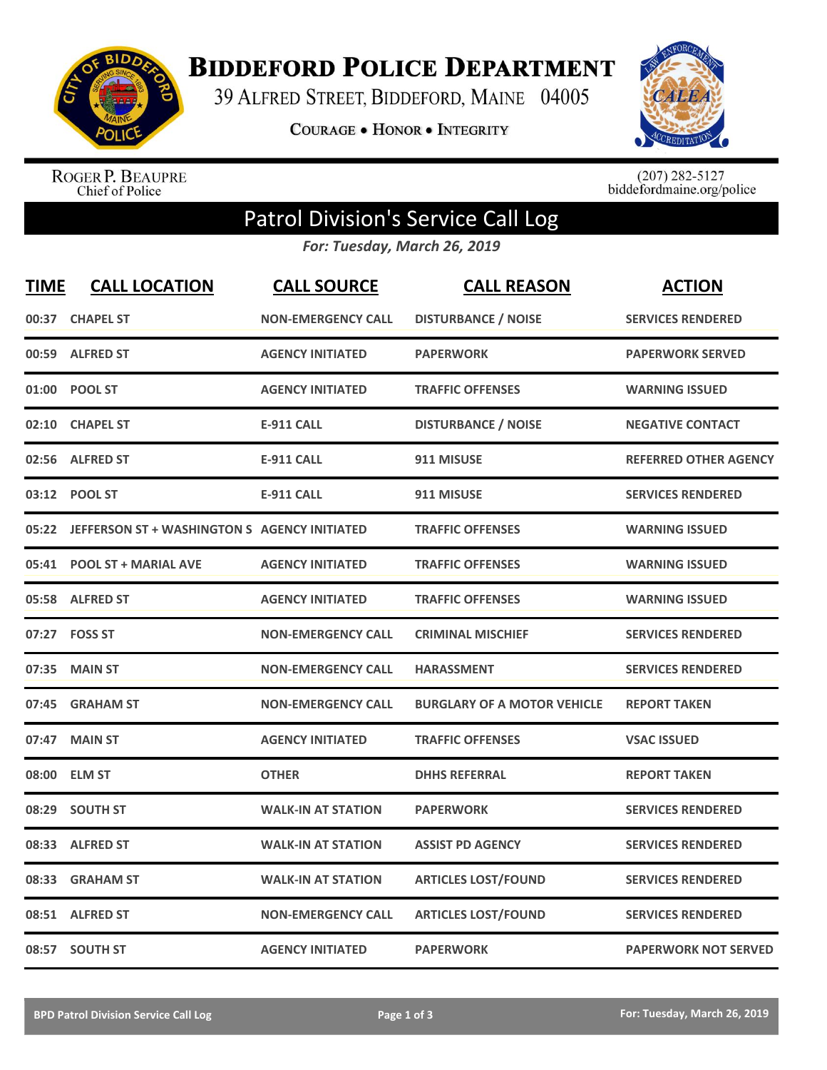

**BIDDEFORD POLICE DEPARTMENT** 

39 ALFRED STREET, BIDDEFORD, MAINE 04005

**COURAGE . HONOR . INTEGRITY** 



ROGER P. BEAUPRE<br>Chief of Police

 $(207)$  282-5127<br>biddefordmaine.org/police

## Patrol Division's Service Call Log

*For: Tuesday, March 26, 2019*

| <b>TIME</b> | <b>CALL LOCATION</b>                               | <b>CALL SOURCE</b>        | <b>CALL REASON</b>                 | <b>ACTION</b>                |
|-------------|----------------------------------------------------|---------------------------|------------------------------------|------------------------------|
| 00:37       | <b>CHAPEL ST</b>                                   | <b>NON-EMERGENCY CALL</b> | <b>DISTURBANCE / NOISE</b>         | <b>SERVICES RENDERED</b>     |
| 00:59       | <b>ALFRED ST</b>                                   | <b>AGENCY INITIATED</b>   | <b>PAPERWORK</b>                   | <b>PAPERWORK SERVED</b>      |
| 01:00       | <b>POOL ST</b>                                     | <b>AGENCY INITIATED</b>   | <b>TRAFFIC OFFENSES</b>            | <b>WARNING ISSUED</b>        |
| 02:10       | <b>CHAPEL ST</b>                                   | <b>E-911 CALL</b>         | <b>DISTURBANCE / NOISE</b>         | <b>NEGATIVE CONTACT</b>      |
| 02:56       | <b>ALFRED ST</b>                                   | <b>E-911 CALL</b>         | 911 MISUSE                         | <b>REFERRED OTHER AGENCY</b> |
|             | 03:12 POOL ST                                      | <b>E-911 CALL</b>         | 911 MISUSE                         | <b>SERVICES RENDERED</b>     |
|             | 05:22 JEFFERSON ST + WASHINGTON S AGENCY INITIATED |                           | <b>TRAFFIC OFFENSES</b>            | <b>WARNING ISSUED</b>        |
|             | 05:41 POOL ST + MARIAL AVE                         | <b>AGENCY INITIATED</b>   | <b>TRAFFIC OFFENSES</b>            | <b>WARNING ISSUED</b>        |
|             | 05:58 ALFRED ST                                    | <b>AGENCY INITIATED</b>   | <b>TRAFFIC OFFENSES</b>            | <b>WARNING ISSUED</b>        |
|             | 07:27    FOSS ST                                   | <b>NON-EMERGENCY CALL</b> | <b>CRIMINAL MISCHIEF</b>           | <b>SERVICES RENDERED</b>     |
| 07:35       | <b>MAIN ST</b>                                     | <b>NON-EMERGENCY CALL</b> | <b>HARASSMENT</b>                  | <b>SERVICES RENDERED</b>     |
| 07:45       | <b>GRAHAM ST</b>                                   | <b>NON-EMERGENCY CALL</b> | <b>BURGLARY OF A MOTOR VEHICLE</b> | <b>REPORT TAKEN</b>          |
| 07:47       | <b>MAIN ST</b>                                     | <b>AGENCY INITIATED</b>   | <b>TRAFFIC OFFENSES</b>            | <b>VSAC ISSUED</b>           |
| 08:00       | <b>ELM ST</b>                                      | <b>OTHER</b>              | <b>DHHS REFERRAL</b>               | <b>REPORT TAKEN</b>          |
| 08:29       | <b>SOUTH ST</b>                                    | <b>WALK-IN AT STATION</b> | <b>PAPERWORK</b>                   | <b>SERVICES RENDERED</b>     |
| 08:33       | <b>ALFRED ST</b>                                   | <b>WALK-IN AT STATION</b> | <b>ASSIST PD AGENCY</b>            | <b>SERVICES RENDERED</b>     |
| 08:33       | <b>GRAHAM ST</b>                                   | <b>WALK-IN AT STATION</b> | <b>ARTICLES LOST/FOUND</b>         | <b>SERVICES RENDERED</b>     |
| 08:51       | <b>ALFRED ST</b>                                   | <b>NON-EMERGENCY CALL</b> | <b>ARTICLES LOST/FOUND</b>         | <b>SERVICES RENDERED</b>     |
|             | 08:57 SOUTH ST                                     | <b>AGENCY INITIATED</b>   | <b>PAPERWORK</b>                   | <b>PAPERWORK NOT SERVED</b>  |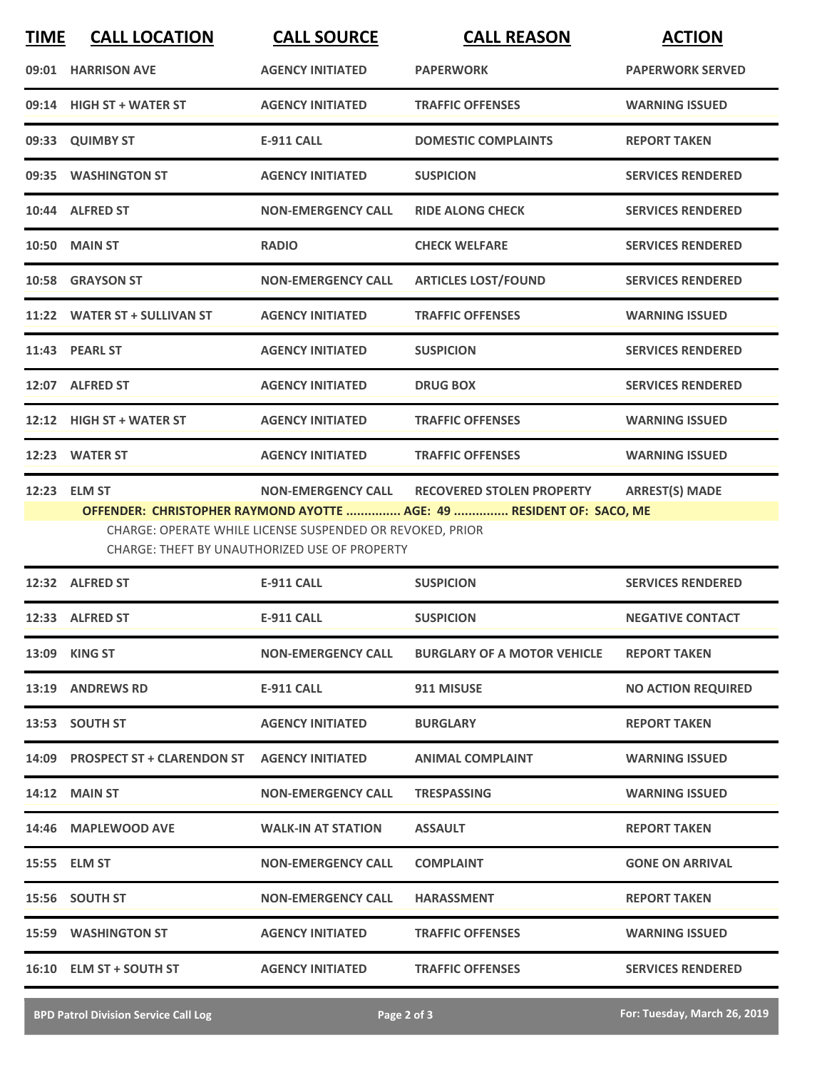| <b>TIME</b> | <b>CALL LOCATION</b>                                                                                                                                                                                                                                                                                | <b>CALL SOURCE</b>        | <b>CALL REASON</b>                 | <b>ACTION</b>             |  |  |
|-------------|-----------------------------------------------------------------------------------------------------------------------------------------------------------------------------------------------------------------------------------------------------------------------------------------------------|---------------------------|------------------------------------|---------------------------|--|--|
|             | 09:01 HARRISON AVE                                                                                                                                                                                                                                                                                  | <b>AGENCY INITIATED</b>   | <b>PAPERWORK</b>                   | <b>PAPERWORK SERVED</b>   |  |  |
|             | 09:14 HIGH ST + WATER ST                                                                                                                                                                                                                                                                            | <b>AGENCY INITIATED</b>   | <b>TRAFFIC OFFENSES</b>            | <b>WARNING ISSUED</b>     |  |  |
|             | 09:33 QUIMBY ST                                                                                                                                                                                                                                                                                     | <b>E-911 CALL</b>         | <b>DOMESTIC COMPLAINTS</b>         | <b>REPORT TAKEN</b>       |  |  |
|             | 09:35 WASHINGTON ST                                                                                                                                                                                                                                                                                 | <b>AGENCY INITIATED</b>   | <b>SUSPICION</b>                   | <b>SERVICES RENDERED</b>  |  |  |
|             | 10:44 ALFRED ST                                                                                                                                                                                                                                                                                     | <b>NON-EMERGENCY CALL</b> | <b>RIDE ALONG CHECK</b>            | <b>SERVICES RENDERED</b>  |  |  |
|             | <b>10:50 MAIN ST</b>                                                                                                                                                                                                                                                                                | <b>RADIO</b>              | <b>CHECK WELFARE</b>               | <b>SERVICES RENDERED</b>  |  |  |
|             | 10:58 GRAYSON ST                                                                                                                                                                                                                                                                                    | <b>NON-EMERGENCY CALL</b> | <b>ARTICLES LOST/FOUND</b>         | <b>SERVICES RENDERED</b>  |  |  |
|             | 11:22 WATER ST + SULLIVAN ST                                                                                                                                                                                                                                                                        | <b>AGENCY INITIATED</b>   | <b>TRAFFIC OFFENSES</b>            | <b>WARNING ISSUED</b>     |  |  |
|             | 11:43 PEARL ST                                                                                                                                                                                                                                                                                      | <b>AGENCY INITIATED</b>   | <b>SUSPICION</b>                   | <b>SERVICES RENDERED</b>  |  |  |
|             | 12:07 ALFRED ST                                                                                                                                                                                                                                                                                     | <b>AGENCY INITIATED</b>   | <b>DRUG BOX</b>                    | <b>SERVICES RENDERED</b>  |  |  |
|             | 12:12 HIGH ST + WATER ST                                                                                                                                                                                                                                                                            | <b>AGENCY INITIATED</b>   | <b>TRAFFIC OFFENSES</b>            | <b>WARNING ISSUED</b>     |  |  |
|             | 12:23 WATER ST                                                                                                                                                                                                                                                                                      | <b>AGENCY INITIATED</b>   | <b>TRAFFIC OFFENSES</b>            | <b>WARNING ISSUED</b>     |  |  |
|             | <b>ARREST(S) MADE</b><br>12:23 ELM ST<br><b>NON-EMERGENCY CALL</b><br><b>RECOVERED STOLEN PROPERTY</b><br>OFFENDER: CHRISTOPHER RAYMOND AYOTTE  AGE: 49  RESIDENT OF: SACO, ME<br>CHARGE: OPERATE WHILE LICENSE SUSPENDED OR REVOKED, PRIOR<br><b>CHARGE: THEFT BY UNAUTHORIZED USE OF PROPERTY</b> |                           |                                    |                           |  |  |
|             | 12:32 ALFRED ST                                                                                                                                                                                                                                                                                     | <b>E-911 CALL</b>         | <b>SUSPICION</b>                   | <b>SERVICES RENDERED</b>  |  |  |
|             | 12:33 ALFRED ST                                                                                                                                                                                                                                                                                     | <b>E-911 CALL</b>         | <b>SUSPICION</b>                   | <b>NEGATIVE CONTACT</b>   |  |  |
|             | 13:09 KING ST                                                                                                                                                                                                                                                                                       | <b>NON-EMERGENCY CALL</b> | <b>BURGLARY OF A MOTOR VEHICLE</b> | <b>REPORT TAKEN</b>       |  |  |
|             | 13:19 ANDREWS RD                                                                                                                                                                                                                                                                                    | E-911 CALL                | 911 MISUSE                         | <b>NO ACTION REQUIRED</b> |  |  |
|             | 13:53 SOUTH ST                                                                                                                                                                                                                                                                                      | <b>AGENCY INITIATED</b>   | <b>BURGLARY</b>                    | <b>REPORT TAKEN</b>       |  |  |
|             | 14:09 PROSPECT ST + CLARENDON ST                                                                                                                                                                                                                                                                    | <b>AGENCY INITIATED</b>   | <b>ANIMAL COMPLAINT</b>            | <b>WARNING ISSUED</b>     |  |  |
|             | <b>14:12 MAIN ST</b>                                                                                                                                                                                                                                                                                | <b>NON-EMERGENCY CALL</b> | <b>TRESPASSING</b>                 | <b>WARNING ISSUED</b>     |  |  |
|             | 14:46 MAPLEWOOD AVE                                                                                                                                                                                                                                                                                 | <b>WALK-IN AT STATION</b> | <b>ASSAULT</b>                     | <b>REPORT TAKEN</b>       |  |  |
|             | 15:55 ELM ST                                                                                                                                                                                                                                                                                        | <b>NON-EMERGENCY CALL</b> | <b>COMPLAINT</b>                   | <b>GONE ON ARRIVAL</b>    |  |  |
|             | 15:56 SOUTH ST                                                                                                                                                                                                                                                                                      | <b>NON-EMERGENCY CALL</b> | <b>HARASSMENT</b>                  | <b>REPORT TAKEN</b>       |  |  |
|             | <b>15:59 WASHINGTON ST</b>                                                                                                                                                                                                                                                                          | <b>AGENCY INITIATED</b>   | <b>TRAFFIC OFFENSES</b>            | <b>WARNING ISSUED</b>     |  |  |
|             | 16:10 ELM ST + SOUTH ST                                                                                                                                                                                                                                                                             | <b>AGENCY INITIATED</b>   | <b>TRAFFIC OFFENSES</b>            | <b>SERVICES RENDERED</b>  |  |  |